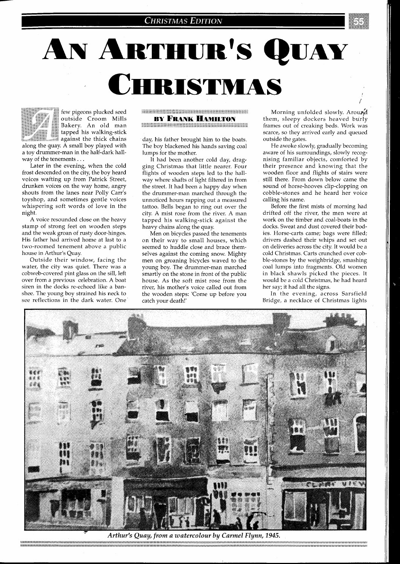## **CHRISTMAS EDITION**

## AN ARTHUR'S QUAY CHRISTMAS

few pigeons plucked seed outside Croom Mills Bakery. An old man tapped his walking-stick  $\;$  against the thick chains along the quay. A small boy played with a toy drummer-man in the half-dark hall-

way of the tenements . . . Later in the evening, when the cold frost descended on the city, the boy heard voices wafting up from Patrick Street, drunken voices on the way home, angry shouts from the lanes near Polly Carr's toyshop, and sometimes gentle voices whispering soft words of love in the night.

A voice resounded close on the heavy stamp of strong feet on wooden steps and the weak groan of rusty door-hinges. His father had arrived home at last to a two-roomed tenement above a public house in Arthur's Quay.

Outside their window, facing the water, the city was quiet. There was a cobweb-covered pint glass on the sill, left over from a previous celebration. A boat siren in the docks re-echoed like a banshee. The young boy strained his neck to see reflections in the dark water. One

**THE RESISTENCE OF A REAL PROPERTY OF A REAL PROPERTY. BY FRANK HAMILTON Management Constitution of the American State Association** 

day, his father brought him to the boats. The boy blackened his hands saving coal lumps for the mother.

It had been another cold day, dragging Christmas that little nearer. Four flights of wooden steps led to the hallway where shafts of light filtered in from the street. It had been a happy day when the drummer-man marched through the unnoticed hours rapping out a measured tattoo. Bells began to ring out over the city. A mist rose from the river. A man tapped his walking-stick against the heavy chains along the quay.

Men on bicycles passed the tenements on their way to small houses, which seemed to huddle close and brace themselves against the coming snow. Mighty men on groaning bicycles waved to the young boy. The drummer-man marched smartly on the stone in front of the public house. As the soft mist rose from the river, his mother's voice called out from the wooden steps: 'Come up before you catch your death!'

Morning unfolded slowly. Around them, sleepy dockers heaved burly frames out of creaking beds. Work was scarce, so they arrived early and queued outside the gates.

He awoke slowly, gradually becoming aware of his surroundings, slowly recognising familiar objects, comforted by their presence and knowing that the wooden floor and flights of stairs were still there. From down below came the sound of horse-hooves clip-clopping on cobble-stones and he heard her voice calling his name.

Before the first mists of morning had drifted off the river, the men were at work on the timber and coal-boats in the docks. Sweat and dust covered their bodies. Horse-carts came; bags were filled; drivers dashed their whips and set out on deliveries across the city. It would be a cold Christmas. Carts crunched over cobble-stones by the weighbridge, smashing coal lumps into fragments. Old women in black shawls picked the pieces. It would be a cold Christmas, he had heard her say; it had all the signs.

In the evening, across Sarsfield Bridge, a necklace of Christmas lights



Arthur's Quay, from a watercolour by Carmel Flynn, 1945.